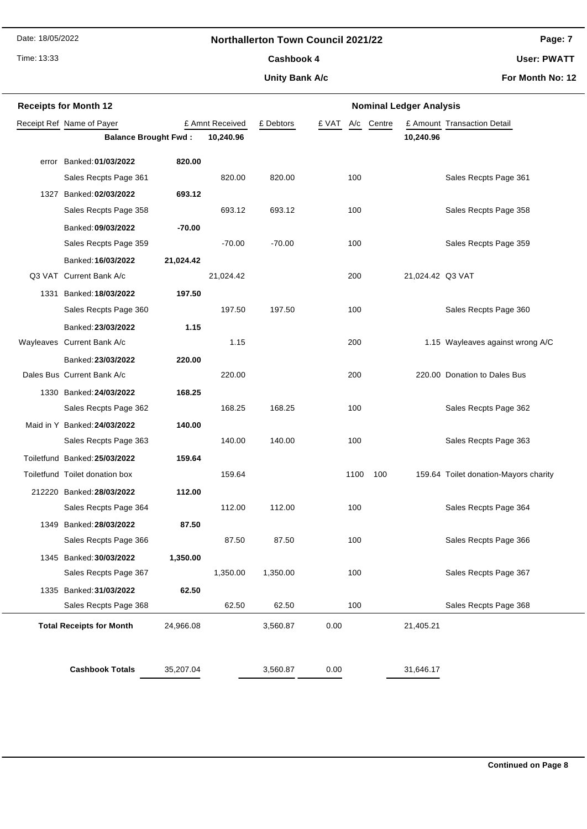Date: 18/05/2022

## **Northallerton Town Council 2021/22**

Time: 13:33

# **Page: 7**

**User: PWATT**

**Unity Bank A/c** Cashbook 4

**For Month No: 12**

| <b>Receipts for Month 12</b>                 |                                |           |           | <b>Nominal Ledger Analysis</b> |            |             |                             |                                       |  |
|----------------------------------------------|--------------------------------|-----------|-----------|--------------------------------|------------|-------------|-----------------------------|---------------------------------------|--|
| Receipt Ref Name of Payer<br>£ Amnt Received |                                |           | £ Debtors | £ VAT                          | A/c Centre |             | £ Amount Transaction Detail |                                       |  |
| <b>Balance Brought Fwd:</b>                  |                                |           | 10,240.96 |                                |            |             | 10,240.96                   |                                       |  |
| error                                        | Banked: 01/03/2022             | 820.00    |           |                                |            |             |                             |                                       |  |
|                                              | Sales Recpts Page 361          |           | 820.00    | 820.00                         |            | 100         |                             | Sales Recpts Page 361                 |  |
|                                              | 1327 Banked: 02/03/2022        | 693.12    |           |                                |            |             |                             |                                       |  |
|                                              | Sales Recpts Page 358          |           | 693.12    | 693.12                         |            | 100         |                             | Sales Recpts Page 358                 |  |
|                                              | Banked: 09/03/2022             | $-70.00$  |           |                                |            |             |                             |                                       |  |
|                                              | Sales Recpts Page 359          |           | $-70.00$  | $-70.00$                       |            | 100         |                             | Sales Recpts Page 359                 |  |
|                                              | Banked: 16/03/2022             | 21,024.42 |           |                                |            |             |                             |                                       |  |
|                                              | Q3 VAT Current Bank A/c        |           | 21,024.42 |                                |            | 200         | 21,024.42 Q3 VAT            |                                       |  |
|                                              | 1331 Banked: 18/03/2022        | 197.50    |           |                                |            |             |                             |                                       |  |
|                                              | Sales Recpts Page 360          |           | 197.50    | 197.50                         |            | 100         |                             | Sales Recpts Page 360                 |  |
|                                              | Banked: 23/03/2022             | 1.15      |           |                                |            |             |                             |                                       |  |
|                                              | Wayleaves Current Bank A/c     |           | 1.15      |                                |            | 200         |                             | 1.15 Wayleaves against wrong A/C      |  |
|                                              | Banked: 23/03/2022             | 220.00    |           |                                |            |             |                             |                                       |  |
|                                              | Dales Bus Current Bank A/c     |           | 220.00    |                                |            | 200         |                             | 220.00 Donation to Dales Bus          |  |
|                                              | 1330 Banked: 24/03/2022        | 168.25    |           |                                |            |             |                             |                                       |  |
|                                              | Sales Recpts Page 362          |           | 168.25    | 168.25                         |            | 100         |                             | Sales Recpts Page 362                 |  |
|                                              | Maid in Y Banked: 24/03/2022   | 140.00    |           |                                |            |             |                             |                                       |  |
|                                              | Sales Recpts Page 363          |           | 140.00    | 140.00                         |            | 100         |                             | Sales Recpts Page 363                 |  |
|                                              | Toiletfund Banked: 25/03/2022  | 159.64    |           |                                |            |             |                             |                                       |  |
|                                              | Toiletfund Toilet donation box |           | 159.64    |                                |            | 1100<br>100 |                             | 159.64 Toilet donation-Mayors charity |  |
|                                              | 212220 Banked: 28/03/2022      | 112.00    |           |                                |            |             |                             |                                       |  |
|                                              | Sales Recpts Page 364          |           | 112.00    | 112.00                         |            | 100         |                             | Sales Recpts Page 364                 |  |
|                                              | 1349 Banked: 28/03/2022        | 87.50     |           |                                |            |             |                             |                                       |  |
|                                              | Sales Recpts Page 366          |           | 87.50     | 87.50                          |            | 100         |                             | Sales Recpts Page 366                 |  |
|                                              | 1345 Banked: 30/03/2022        | 1,350.00  |           |                                |            |             |                             |                                       |  |
|                                              | Sales Recpts Page 367          |           | 1,350.00  | 1,350.00                       |            | 100         |                             | Sales Recpts Page 367                 |  |
|                                              | 1335 Banked: 31/03/2022        | 62.50     |           |                                |            |             |                             |                                       |  |
|                                              | Sales Recpts Page 368          |           | 62.50     | 62.50                          |            | 100         |                             | Sales Recpts Page 368                 |  |
| <b>Total Receipts for Month</b><br>24,966.08 |                                |           | 3,560.87  | 0.00                           |            | 21,405.21   |                             |                                       |  |
|                                              |                                |           |           |                                |            |             |                             |                                       |  |
|                                              | <b>Cashbook Totals</b>         | 35,207.04 |           | 3,560.87                       | 0.00       |             | 31,646.17                   |                                       |  |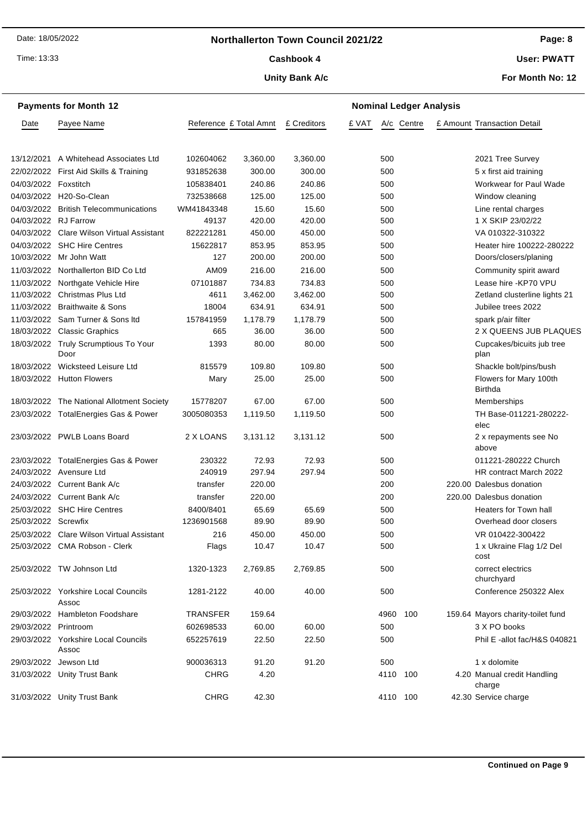## **Northallerton Town Council 2021/22**

Time: 13:33

## Cashbook 4

## **Unity Bank A/c**

**User: PWATT**

**For Month No: 12**

|                      | <b>Payments for Month 12</b>                 |                        | <b>Nominal Ledger Analysis</b> |             |       |            |  |  |                                       |  |
|----------------------|----------------------------------------------|------------------------|--------------------------------|-------------|-------|------------|--|--|---------------------------------------|--|
| Date                 | Payee Name                                   | Reference £ Total Amnt |                                | £ Creditors | £ VAT | A/c Centre |  |  | £ Amount Transaction Detail           |  |
|                      |                                              |                        |                                |             |       |            |  |  |                                       |  |
|                      | 13/12/2021 A Whitehead Associates Ltd        | 102604062              | 3,360.00                       | 3,360.00    |       | 500        |  |  | 2021 Tree Survey                      |  |
|                      | 22/02/2022 First Aid Skills & Training       | 931852638              | 300.00                         | 300.00      |       | 500        |  |  | 5 x first aid training                |  |
| 04/03/2022 Foxstitch |                                              | 105838401              | 240.86                         | 240.86      |       | 500        |  |  | Workwear for Paul Wade                |  |
|                      | 04/03/2022 H20-So-Clean                      | 732538668              | 125.00                         | 125.00      |       | 500        |  |  | Window cleaning                       |  |
|                      | 04/03/2022 British Telecommunications        | WM41843348             | 15.60                          | 15.60       |       | 500        |  |  | Line rental charges                   |  |
| 04/03/2022 RJ Farrow |                                              | 49137                  | 420.00                         | 420.00      |       | 500        |  |  | 1 X SKIP 23/02/22                     |  |
|                      | 04/03/2022 Clare Wilson Virtual Assistant    | 822221281              | 450.00                         | 450.00      |       | 500        |  |  | VA 010322-310322                      |  |
|                      | 04/03/2022 SHC Hire Centres                  | 15622817               | 853.95                         | 853.95      |       | 500        |  |  | Heater hire 100222-280222             |  |
|                      | 10/03/2022 Mr John Watt                      | 127                    | 200.00                         | 200.00      |       | 500        |  |  | Doors/closers/planing                 |  |
|                      | 11/03/2022 Northallerton BID Co Ltd          | AM09                   | 216.00                         | 216.00      |       | 500        |  |  | Community spirit award                |  |
|                      | 11/03/2022 Northgate Vehicle Hire            | 07101887               | 734.83                         | 734.83      |       | 500        |  |  | Lease hire -KP70 VPU                  |  |
|                      | 11/03/2022 Christmas Plus Ltd                | 4611                   | 3,462.00                       | 3,462.00    |       | 500        |  |  | Zetland clusterline lights 21         |  |
|                      | 11/03/2022 Braithwaite & Sons                | 18004                  | 634.91                         | 634.91      |       | 500        |  |  | Jubilee trees 2022                    |  |
|                      | 11/03/2022 Sam Turner & Sons Itd             | 157841959              | 1,178.79                       | 1,178.79    |       | 500        |  |  | spark p/air filter                    |  |
|                      | 18/03/2022 Classic Graphics                  | 665                    | 36.00                          | 36.00       |       | 500        |  |  | 2 X QUEENS JUB PLAQUES                |  |
|                      | 18/03/2022 Truly Scrumptious To Your         | 1393                   | 80.00                          | 80.00       |       | 500        |  |  | Cupcakes/bicuits jub tree             |  |
|                      | Door                                         |                        |                                |             |       |            |  |  | plan                                  |  |
|                      | 18/03/2022 Wicksteed Leisure Ltd             | 815579                 | 109.80                         | 109.80      |       | 500        |  |  | Shackle bolt/pins/bush                |  |
|                      | 18/03/2022 Hutton Flowers                    | Mary                   | 25.00                          | 25.00       |       | 500        |  |  | Flowers for Mary 100th                |  |
|                      |                                              |                        |                                |             |       |            |  |  | Birthda                               |  |
|                      | 18/03/2022 The National Allotment Society    | 15778207               | 67.00                          | 67.00       |       | 500        |  |  | Memberships                           |  |
|                      | 23/03/2022 TotalEnergies Gas & Power         | 3005080353             | 1,119.50                       | 1,119.50    |       | 500        |  |  | TH Base-011221-280222-                |  |
|                      |                                              |                        |                                |             |       |            |  |  | elec                                  |  |
|                      | 23/03/2022 PWLB Loans Board                  | 2 X LOANS              | 3,131.12                       | 3,131.12    |       | 500        |  |  | 2 x repayments see No                 |  |
|                      |                                              |                        |                                |             |       |            |  |  | above                                 |  |
|                      | 23/03/2022 TotalEnergies Gas & Power         | 230322                 | 72.93                          | 72.93       |       | 500        |  |  | 011221-280222 Church                  |  |
|                      | 24/03/2022 Avensure Ltd                      | 240919                 | 297.94<br>220.00               | 297.94      |       | 500        |  |  | HR contract March 2022                |  |
|                      | 24/03/2022 Current Bank A/c                  | transfer               |                                |             |       | 200        |  |  | 220.00 Dalesbus donation              |  |
|                      | 24/03/2022 Current Bank A/c                  | transfer               | 220.00                         |             |       | 200        |  |  | 220.00 Dalesbus donation              |  |
|                      | 25/03/2022 SHC Hire Centres                  | 8400/8401              | 65.69                          | 65.69       |       | 500        |  |  | <b>Heaters for Town hall</b>          |  |
| 25/03/2022 Screwfix  |                                              | 1236901568             | 89.90                          | 89.90       |       | 500        |  |  | Overhead door closers                 |  |
|                      | 25/03/2022 Clare Wilson Virtual Assistant    | 216                    | 450.00                         | 450.00      |       | 500        |  |  | VR 010422-300422                      |  |
|                      | 25/03/2022 CMA Robson - Clerk                | Flags                  | 10.47                          | 10.47       |       | 500        |  |  | 1 x Ukraine Flag 1/2 Del<br>cost      |  |
|                      | 25/03/2022 TW Johnson Ltd                    | 1320-1323              | 2,769.85                       | 2,769.85    |       | 500        |  |  | correct electrics                     |  |
|                      |                                              |                        |                                |             |       |            |  |  | churchyard                            |  |
|                      | 25/03/2022 Yorkshire Local Councils          | 1281-2122              | 40.00                          | 40.00       |       | 500        |  |  | Conference 250322 Alex                |  |
|                      | Assoc<br>29/03/2022 Hambleton Foodshare      | TRANSFER               | 159.64                         |             |       | 4960 100   |  |  | 159.64 Mayors charity-toilet fund     |  |
| 29/03/2022 Printroom |                                              | 602698533              | 60.00                          | 60.00       |       | 500        |  |  | 3 X PO books                          |  |
|                      |                                              |                        |                                |             |       |            |  |  |                                       |  |
|                      | 29/03/2022 Yorkshire Local Councils<br>Assoc | 652257619              | 22.50                          | 22.50       |       | 500        |  |  | Phil E -allot fac/H&S 040821          |  |
|                      | 29/03/2022 Jewson Ltd                        | 900036313              | 91.20                          | 91.20       |       | 500        |  |  | 1 x dolomite                          |  |
|                      | 31/03/2022 Unity Trust Bank                  | <b>CHRG</b>            | 4.20                           |             |       | 4110 100   |  |  | 4.20 Manual credit Handling<br>charge |  |
|                      | 31/03/2022 Unity Trust Bank                  | <b>CHRG</b>            | 42.30                          |             |       | 4110 100   |  |  | 42.30 Service charge                  |  |